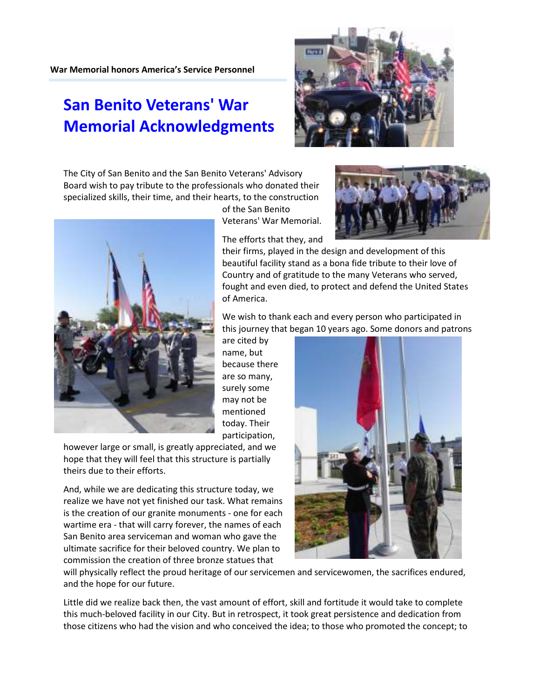## War Memorial honors America's Service Personnel

## San Benito Veterans' War Memorial Acknowledgments

The City of San Benito and the San Benito Veterans' Advisory Board wish to pay tribute to the professionals who donated their specialized skills, their time, and their hearts, to the construction

> of the San Benito Veterans' War Memorial.

> The efforts that they, and

their firms, played in the design and development of this beautiful facility stand as a bona fide tribute to their love of Country and of gratitude to the many Veterans who served, fought and even died, to protect and defend the United States of America.

We wish to thank each and every person who participated in this journey that began 10 years ago. Some donors and patrons

are cited by name, but because there are so many, surely some may not be mentioned today. Their participation,

however large or small, is greatly appreciated, and we hope that they will feel that this structure is partially theirs due to their efforts.

And, while we are dedicating this structure today, we realize we have not yet finished our task. What remains is the creation of our granite monuments - one for each wartime era - that will carry forever, the names of each San Benito area serviceman and woman who gave the ultimate sacrifice for their beloved country. We plan to commission the creation of three bronze statues that

will physically reflect the proud heritage of our servicemen and servicewomen, the sacrifices endured, and the hope for our future.

Little did we realize back then, the vast amount of effort, skill and fortitude it would take to complete this much-beloved facility in our City. But in retrospect, it took great persistence and dedication from those citizens who had the vision and who conceived the idea; to those who promoted the concept; to







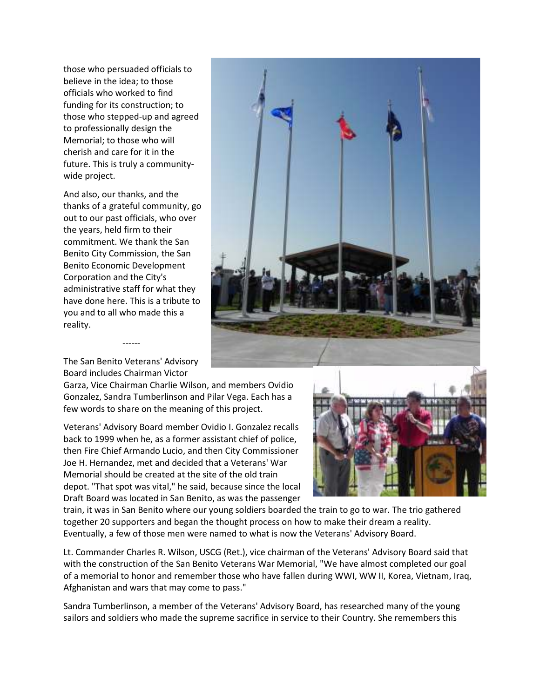those who persuaded officials to believe in the idea; to those officials who worked to find funding for its construction; to those who stepped-up and agreed to professionally design the Memorial; to those who will cherish and care for it in the future. This is truly a communitywide project.

And also, our thanks, and the thanks of a grateful community, go out to our past officials, who over the years, held firm to their commitment. We thank the San Benito City Commission, the San Benito Economic Development Corporation and the City's administrative staff for what they have done here. This is a tribute to you and to all who made this a reality.



The San Benito Veterans' Advisory Board includes Chairman Victor

------

Garza, Vice Chairman Charlie Wilson, and members Ovidio Gonzalez, Sandra Tumberlinson and Pilar Vega. Each has a few words to share on the meaning of this project.

Veterans' Advisory Board member Ovidio I. Gonzalez recalls back to 1999 when he, as a former assistant chief of police, then Fire Chief Armando Lucio, and then City Commissioner Joe H. Hernandez, met and decided that a Veterans' War Memorial should be created at the site of the old train depot. "That spot was vital," he said, because since the local Draft Board was located in San Benito, as was the passenger



train, it was in San Benito where our young soldiers boarded the train to go to war. The trio gathered together 20 supporters and began the thought process on how to make their dream a reality. Eventually, a few of those men were named to what is now the Veterans' Advisory Board.

Lt. Commander Charles R. Wilson, USCG (Ret.), vice chairman of the Veterans' Advisory Board said that with the construction of the San Benito Veterans War Memorial, "We have almost completed our goal of a memorial to honor and remember those who have fallen during WWI, WW II, Korea, Vietnam, Iraq, Afghanistan and wars that may come to pass."

Sandra Tumberlinson, a member of the Veterans' Advisory Board, has researched many of the young sailors and soldiers who made the supreme sacrifice in service to their Country. She remembers this